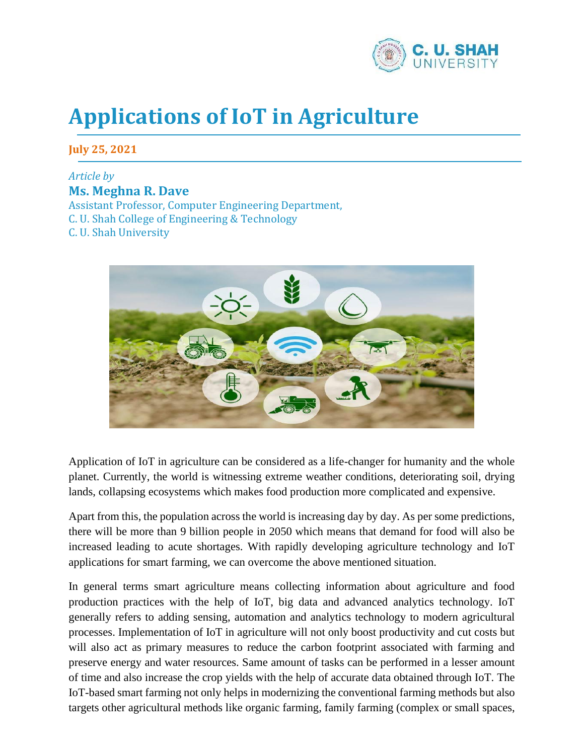

## **Applications of IoT in Agriculture**

**July 25, 2021**

## *Article by*  **Ms. Meghna R. Dave** Assistant Professor, Computer Engineering Department,

C. U. Shah College of Engineering & Technology

C. U. Shah University



Application of IoT in agriculture can be considered as a life-changer for humanity and the whole planet. Currently, the world is witnessing extreme weather conditions, deteriorating soil, drying lands, collapsing ecosystems which makes food production more complicated and expensive.

Apart from this, the population across the world is increasing day by day. As per some predictions, there will be more than 9 billion people in 2050 which means that demand for food will also be increased leading to acute shortages. With rapidly developing agriculture technology and IoT applications for smart farming, we can overcome the above mentioned situation.

In general terms smart agriculture means collecting information about agriculture and food production practices with the help of IoT, big data and advanced analytics technology. IoT generally refers to adding sensing, automation and analytics technology to modern agricultural processes. Implementation of IoT in agriculture will not only boost productivity and cut costs but will also act as primary measures to reduce the carbon footprint associated with farming and preserve energy and water resources. Same amount of tasks can be performed in a lesser amount of time and also increase the crop yields with the help of accurate data obtained through IoT. The IoT-based smart farming not only helps in modernizing the conventional farming methods but also targets other agricultural methods like organic farming, family farming (complex or small spaces,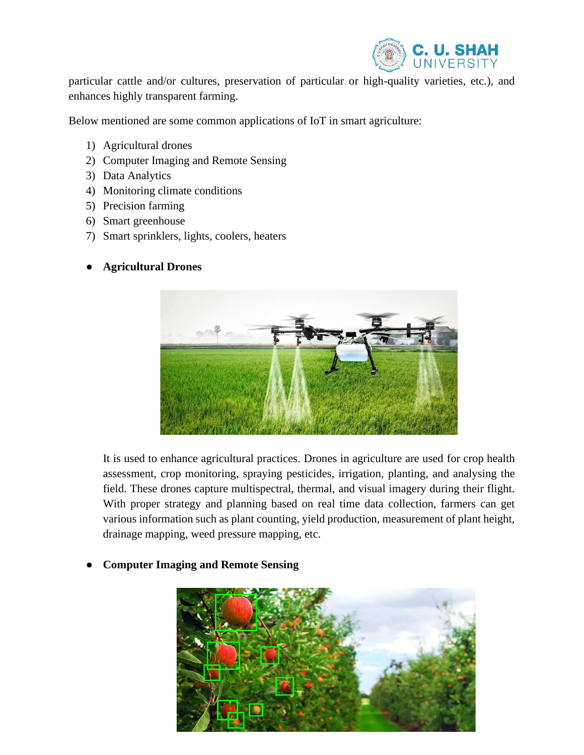

particular cattle and/or cultures, preservation of particular or high-quality varieties, etc.), and enhances highly transparent farming.

Below mentioned are some common applications of IoT in smart agriculture:

- 1) Agricultural drones
- 2) Computer Imaging and Remote Sensing
- 3) Data Analytics
- 4) Monitoring climate conditions
- 5) Precision farming
- 6) Smart greenhouse
- 7) Smart sprinklers, lights, coolers, heaters
- **Agricultural Drones**



It is used to enhance agricultural practices. Drones in agriculture are used for crop health assessment, crop monitoring, spraying pesticides, irrigation, planting, and analysing the field. These drones capture multispectral, thermal, and visual imagery during their flight. With proper strategy and planning based on real time data collection, farmers can get various information such as plant counting, yield production, measurement of plant height, drainage mapping, weed pressure mapping, etc.



● **Computer Imaging and Remote Sensing**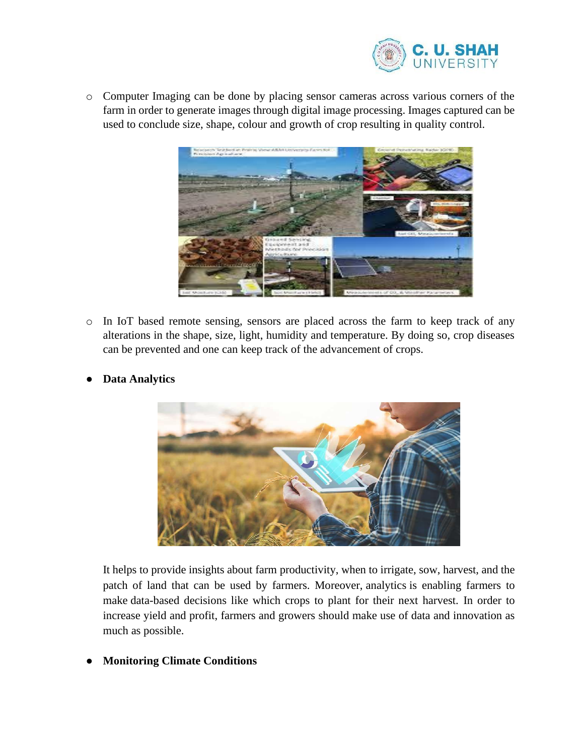

o Computer Imaging can be done by placing sensor cameras across various corners of the farm in order to generate images through digital image processing. Images captured can be used to conclude size, shape, colour and growth of crop resulting in quality control.



o In IoT based remote sensing, sensors are placed across the farm to keep track of any alterations in the shape, size, light, humidity and temperature. By doing so, crop diseases can be prevented and one can keep track of the advancement of crops.



● **Data Analytics**

It helps to provide insights about farm productivity, when to irrigate, sow, harvest, and the patch of land that can be used by farmers. Moreover, analytics is enabling farmers to make data-based decisions like which crops to plant for their next harvest. In order to increase yield and profit, farmers and growers should make use of data and innovation as much as possible.

● **Monitoring Climate Conditions**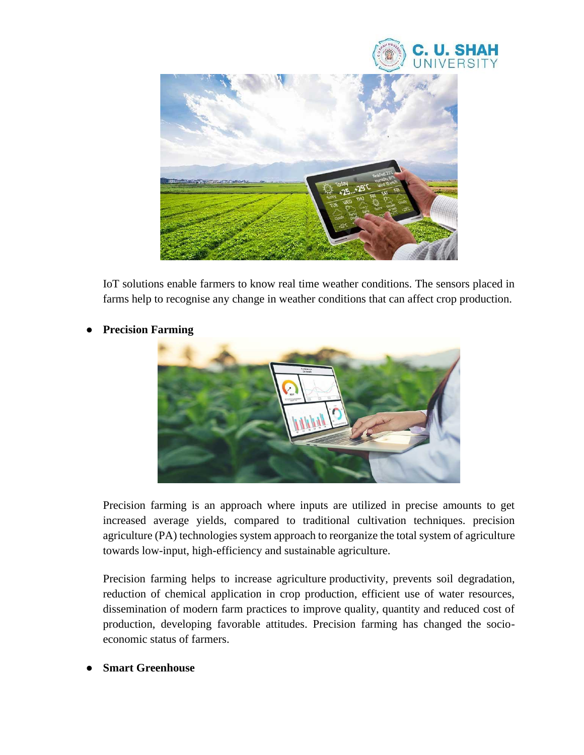



IoT solutions enable farmers to know real time weather conditions. The sensors placed in farms help to recognise any change in weather conditions that can affect crop production.

## **Precision Farming**



Precision farming is an approach where inputs are utilized in precise amounts to get increased average yields, compared to traditional cultivation techniques. precision agriculture (PA) technologies system approach to reorganize the total system of agriculture towards low-input, high-efficiency and sustainable agriculture.

Precision farming helps to increase agriculture productivity, prevents soil degradation, reduction of chemical application in crop production, efficient use of water resources, dissemination of modern farm practices to improve quality, quantity and reduced cost of production, developing favorable attitudes. Precision farming has changed the socioeconomic status of farmers.

**Smart Greenhouse**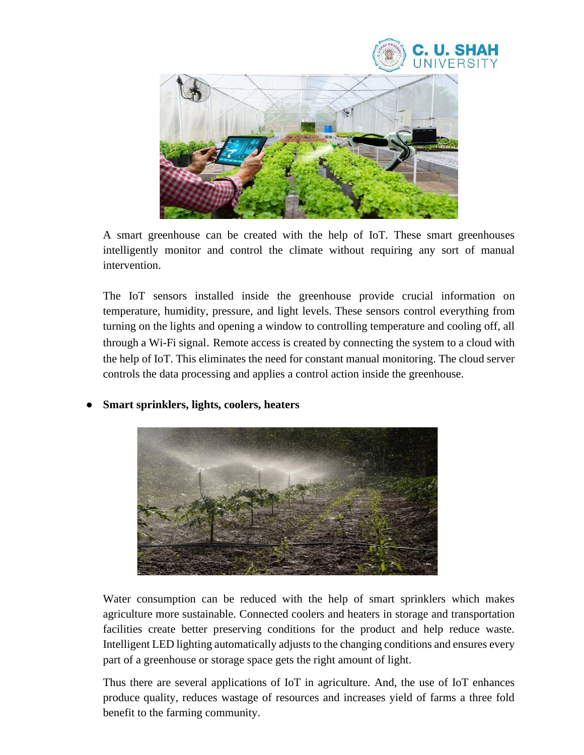



A smart greenhouse can be created with the help of IoT. These smart greenhouses intelligently monitor and control the climate without requiring any sort of manual intervention.

The IoT sensors installed inside the greenhouse provide crucial information on temperature, humidity, pressure, and light levels. These sensors control everything from turning on the lights and opening a window to controlling temperature and cooling off, all through a Wi-Fi signal. Remote access is created by connecting the system to a cloud with the help of IoT. This eliminates the need for constant manual monitoring. The cloud server controls the data processing and applies a control action inside the greenhouse.



● **Smart sprinklers, lights, coolers, heaters**

Water consumption can be reduced with the help of smart sprinklers which makes agriculture more sustainable. Connected coolers and heaters in storage and transportation facilities create better preserving conditions for the product and help reduce waste. Intelligent LED lighting automatically adjusts to the changing conditions and ensures every part of a greenhouse or storage space gets the right amount of light.

Thus there are several applications of IoT in agriculture. And, the use of IoT enhances produce quality, reduces wastage of resources and increases yield of farms a three fold benefit to the farming community.